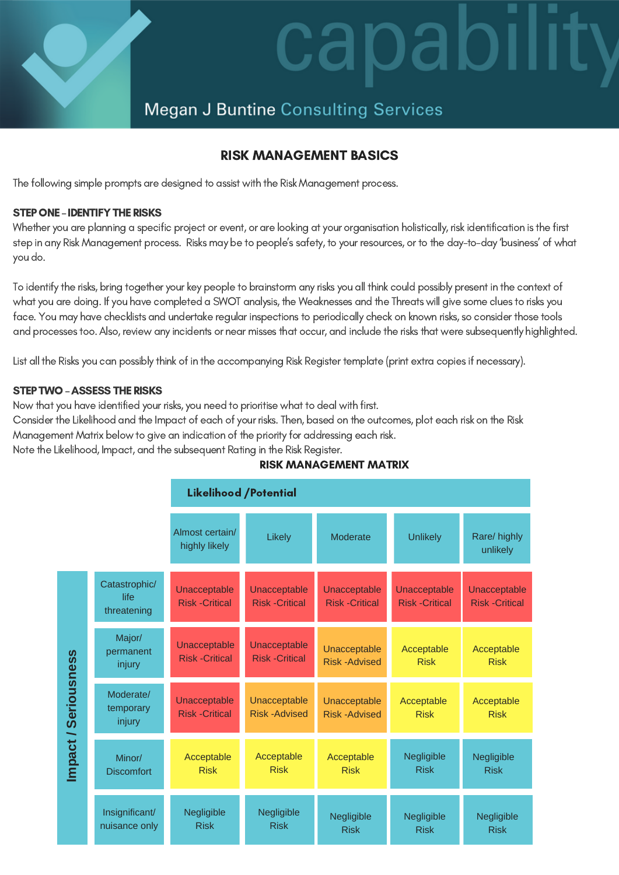# dl

# **Megan J Buntine Consulting Services**

## RISK MANAGEMENT BASICS

The following simple prompts are designed to assist with the Risk Management process.

#### STEP ONE - IDENTIFY THE RISKS

Whether you are planning a specific project or event, or are looking at your organisation holistically, risk identification is the first step in any Risk Management process. Risks may be to people's safety, to your resources, or to the day-to-day 'business' of what you do.

To identify the risks, bring together your key people to brainstorm any risks you all think could possibly present in the context of what you are doing. If you have completed a SWOT analysis, the Weaknesses and the Threats will give some clues to risks you face. You may have checklists and undertake regular inspections to periodically check on known risks, so consider those tools and processes too. Also, review any incidents or near misses that occur, and include the risks that were subsequently highlighted.

List all the Risks you can possibly think of in the accompanying Risk Register template (print extra copies if necessary).

#### STEP TWO - ASSESS THE RISKS

Now that you have identified your risks, you need to prioritise what to deal with first.

Consider the Likelihood and the Impact of each of your risks. Then, based on the outcomes, plot each risk on the Risk

Management Matrix below to give an indication of the priority for addressing each risk.

Note the Likelihood, Impact, and the subsequent Rating in the Risk Register.

|                      |                                      |                                      | <b>Likelihood /Potential</b>         |                                      |                                      |                                      |
|----------------------|--------------------------------------|--------------------------------------|--------------------------------------|--------------------------------------|--------------------------------------|--------------------------------------|
|                      |                                      | Almost certain/<br>highly likely     | Likely                               | Moderate                             | <b>Unlikely</b>                      | Rare/ highly<br>unlikely             |
| Impact / Seriousness | Catastrophic/<br>life<br>threatening | Unacceptable<br><b>Risk-Critical</b> | Unacceptable<br><b>Risk-Critical</b> | Unacceptable<br><b>Risk-Critical</b> | Unacceptable<br><b>Risk-Critical</b> | Unacceptable<br><b>Risk-Critical</b> |
|                      | Major/<br>permanent<br>injury        | Unacceptable<br><b>Risk-Critical</b> | Unacceptable<br><b>Risk-Critical</b> | Unacceptable<br><b>Risk-Advised</b>  | Acceptable<br><b>Risk</b>            | Acceptable<br><b>Risk</b>            |
|                      | Moderate/<br>temporary<br>injury     | Unacceptable<br><b>Risk-Critical</b> | Unacceptable<br><b>Risk-Advised</b>  | Unacceptable<br>Risk-Advised         | Acceptable<br><b>Risk</b>            | Acceptable<br><b>Risk</b>            |
|                      | Minor/<br><b>Discomfort</b>          | Acceptable<br><b>Risk</b>            | Acceptable<br><b>Risk</b>            | Acceptable<br><b>Risk</b>            | Negligible<br><b>Risk</b>            | Negligible<br><b>Risk</b>            |
|                      | Insignificant/<br>nuisance only      | Negligible<br><b>Risk</b>            | Negligible<br><b>Risk</b>            | Negligible<br><b>Risk</b>            | Negligible<br><b>Risk</b>            | Negligible<br><b>Risk</b>            |

#### RISK MANAGEMENT MATRIX